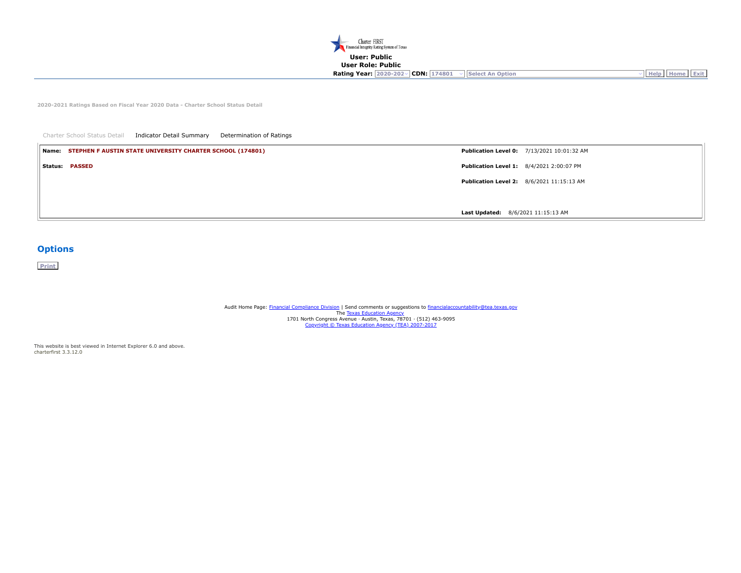

**2020-2021 Ratings Based on Fiscal Year 2020 Data - Charter School Status Detail**

| Charter School Status Detail<br>Indicator Detail Summary<br>Determination of Ratings |                                                   |
|--------------------------------------------------------------------------------------|---------------------------------------------------|
| Name: STEPHEN F AUSTIN STATE UNIVERSITY CHARTER SCHOOL (174801)                      | <b>Publication Level 0: 7/13/2021 10:01:32 AM</b> |
| Status: PASSED                                                                       | <b>Publication Level 1: 8/4/2021 2:00:07 PM</b>   |
|                                                                                      | Publication Level 2: 8/6/2021 11:15:13 AM         |
|                                                                                      |                                                   |
|                                                                                      | Last Updated: 8/6/2021 11:15:13 AM                |

## **Options**

**Print**

Audit Home Page: [Financial Compliance Division](https://tea.texas.gov/Finance_and_Grants/Financial_Accountability/) | Send comments or suggestions to [financialaccountability@tea.texas.gov](mailto:financialaccountability@tea.texas.gov) The <u>[Texas Education Agency](http://tea.texas.gov/)</u><br>1701 North Congress Avenue · Austin, Texas, 78701 · (512) 463-9095<br><u>[Copyright © Texas Education Agency \(TEA\) 2007-2017](https://tea.texas.gov/About_TEA/Welcome_and_Overview/Site_Policies/)</u>

This website is best viewed in Internet Explorer 6.0 and above. charterfirst 3.3.12.0